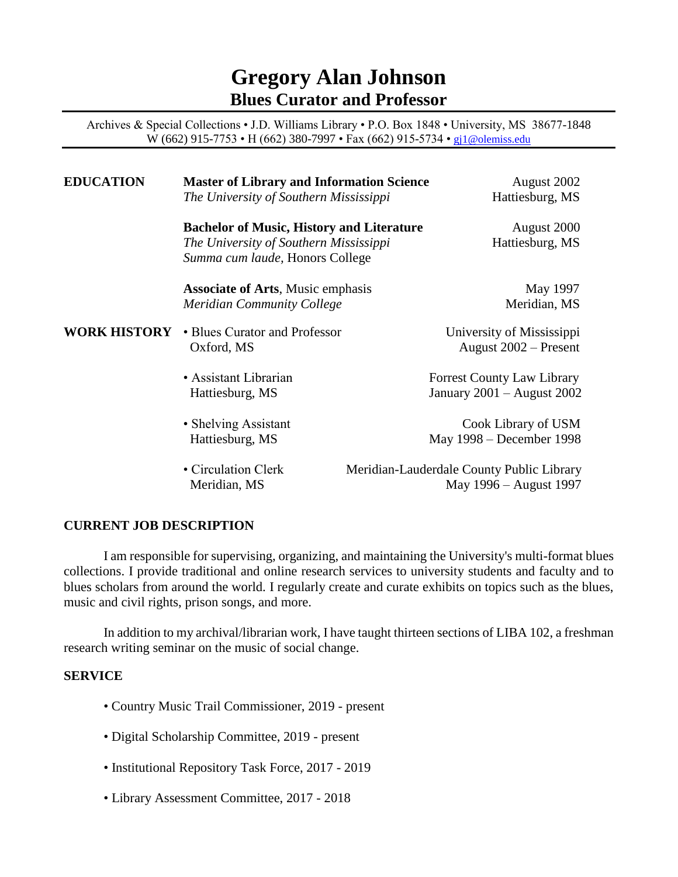# **Gregory Alan Johnson Blues Curator and Professor**

Archives & Special Collections • J.D. Williams Library • P.O. Box 1848 • University, MS 38677-1848 W (662) 915-7753 • H (662) 380-7997 • Fax (662) 915-5734 • [gj1@olemiss.edu](mailto:gregbwa@yahoo.com)

| <b>EDUCATION</b>    | <b>Master of Library and Information Science</b><br>The University of Southern Mississippi                                    |  | August 2002<br>Hattiesburg, MS                                      |  |
|---------------------|-------------------------------------------------------------------------------------------------------------------------------|--|---------------------------------------------------------------------|--|
|                     | <b>Bachelor of Music, History and Literature</b><br>The University of Southern Mississippi<br>Summa cum laude, Honors College |  | August 2000<br>Hattiesburg, MS                                      |  |
|                     | <b>Associate of Arts, Music emphasis</b><br><b>Meridian Community College</b>                                                 |  | May 1997<br>Meridian, MS                                            |  |
| <b>WORK HISTORY</b> | • Blues Curator and Professor<br>Oxford, MS                                                                                   |  | University of Mississippi<br>August $2002$ – Present                |  |
|                     | • Assistant Librarian<br>Hattiesburg, MS                                                                                      |  | <b>Forrest County Law Library</b><br>January 2001 - August 2002     |  |
|                     | • Shelving Assistant<br>Hattiesburg, MS                                                                                       |  | Cook Library of USM<br>May 1998 – December 1998                     |  |
|                     | • Circulation Clerk<br>Meridian, MS                                                                                           |  | Meridian-Lauderdale County Public Library<br>May 1996 – August 1997 |  |

### **CURRENT JOB DESCRIPTION**

I am responsible for supervising, organizing, and maintaining the University's multi-format blues collections. I provide traditional and online research services to university students and faculty and to blues scholars from around the world. I regularly create and curate exhibits on topics such as the blues, music and civil rights, prison songs, and more.

In addition to my archival/librarian work, I have taught thirteen sections of LIBA 102, a freshman research writing seminar on the music of social change.

#### **SERVICE**

- Country Music Trail Commissioner, 2019 present
- Digital Scholarship Committee, 2019 present
- Institutional Repository Task Force, 2017 2019
- Library Assessment Committee, 2017 2018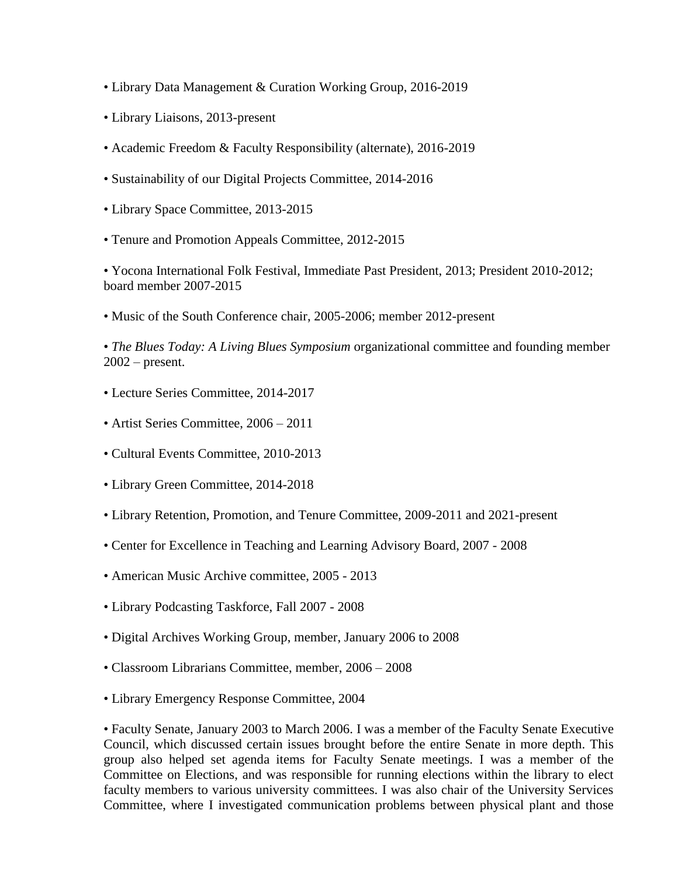- Library Data Management & Curation Working Group, 2016-2019
- Library Liaisons, 2013-present
- Academic Freedom & Faculty Responsibility (alternate), 2016-2019
- Sustainability of our Digital Projects Committee, 2014-2016
- Library Space Committee, 2013-2015
- Tenure and Promotion Appeals Committee, 2012-2015

• Yocona International Folk Festival, Immediate Past President, 2013; President 2010-2012; board member 2007-2015

• Music of the South Conference chair, 2005-2006; member 2012-present

• *The Blues Today: A Living Blues Symposium* organizational committee and founding member  $2002$  – present.

- Lecture Series Committee, 2014-2017
- Artist Series Committee, 2006 2011
- Cultural Events Committee, 2010-2013
- Library Green Committee, 2014-2018
- Library Retention, Promotion, and Tenure Committee, 2009-2011 and 2021-present
- Center for Excellence in Teaching and Learning Advisory Board, 2007 2008
- American Music Archive committee, 2005 2013
- Library Podcasting Taskforce, Fall 2007 2008
- Digital Archives Working Group, member, January 2006 to 2008
- Classroom Librarians Committee, member, 2006 2008
- Library Emergency Response Committee, 2004

• Faculty Senate, January 2003 to March 2006. I was a member of the Faculty Senate Executive Council, which discussed certain issues brought before the entire Senate in more depth. This group also helped set agenda items for Faculty Senate meetings. I was a member of the Committee on Elections, and was responsible for running elections within the library to elect faculty members to various university committees. I was also chair of the University Services Committee, where I investigated communication problems between physical plant and those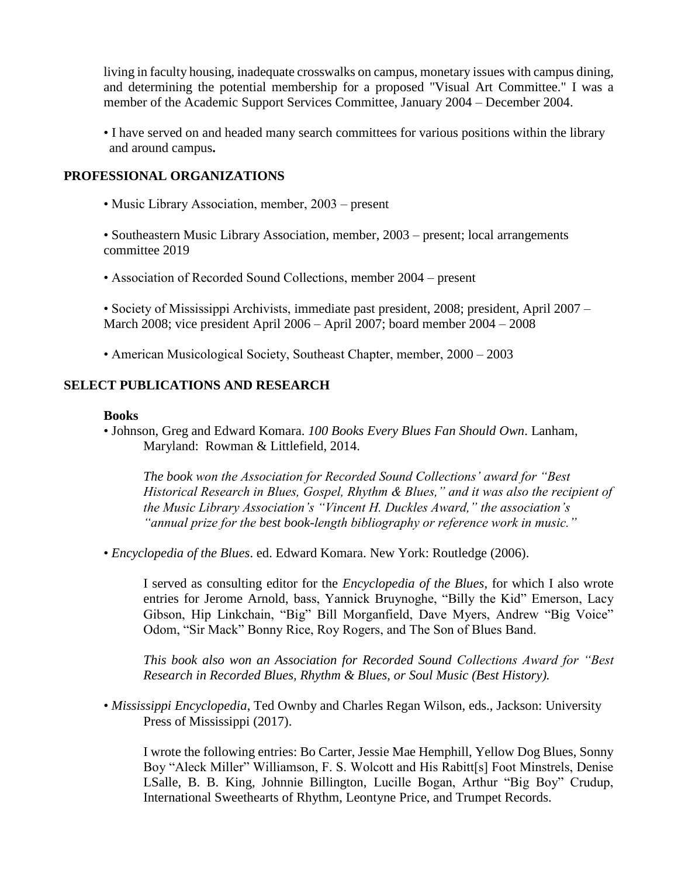living in faculty housing, inadequate crosswalks on campus, monetary issues with campus dining, and determining the potential membership for a proposed "Visual Art Committee." I was a member of the Academic Support Services Committee, January 2004 – December 2004.

• I have served on and headed many search committees for various positions within the library and around campus**.** 

#### **PROFESSIONAL ORGANIZATIONS**

• Music Library Association, member, 2003 – present

• Southeastern Music Library Association, member, 2003 – present; local arrangements committee 2019

• Association of Recorded Sound Collections, member 2004 – present

• Society of Mississippi Archivists, immediate past president, 2008; president, April 2007 – March 2008; vice president April 2006 – April 2007; board member 2004 – 2008

• American Musicological Society, Southeast Chapter, member, 2000 – 2003

### **SELECT PUBLICATIONS AND RESEARCH**

#### **Books**

• Johnson, Greg and Edward Komara. *100 Books Every Blues Fan Should Own*. Lanham, Maryland: Rowman & Littlefield, 2014.

*The book won the Association for Recorded Sound Collections' award for "Best Historical Research in Blues, Gospel, Rhythm & Blues," and it was also the recipient of the Music Library Association's "Vincent H. Duckles Award," the association's "annual prize for the best book-length bibliography or reference work in music."* 

• *Encyclopedia of the Blues*. ed. Edward Komara. New York: Routledge (2006).

I served as consulting editor for the *Encyclopedia of the Blues*, for which I also wrote entries for Jerome Arnold, bass, Yannick Bruynoghe, "Billy the Kid" Emerson, Lacy Gibson, Hip Linkchain, "Big" Bill Morganfield, Dave Myers, Andrew "Big Voice" Odom, "Sir Mack" Bonny Rice, Roy Rogers, and The Son of Blues Band.

*This book also won an Association for Recorded Sound Collections Award for "Best Research in Recorded Blues, Rhythm & Blues, or Soul Music (Best History).* 

• *Mississippi Encyclopedia*, Ted Ownby and Charles Regan Wilson, eds., Jackson: University Press of Mississippi (2017).

I wrote the following entries: Bo Carter, Jessie Mae Hemphill, Yellow Dog Blues, Sonny Boy "Aleck Miller" Williamson, F. S. Wolcott and His Rabitt[s] Foot Minstrels, Denise LSalle, B. B. King, Johnnie Billington, Lucille Bogan, Arthur "Big Boy" Crudup, International Sweethearts of Rhythm, Leontyne Price, and Trumpet Records.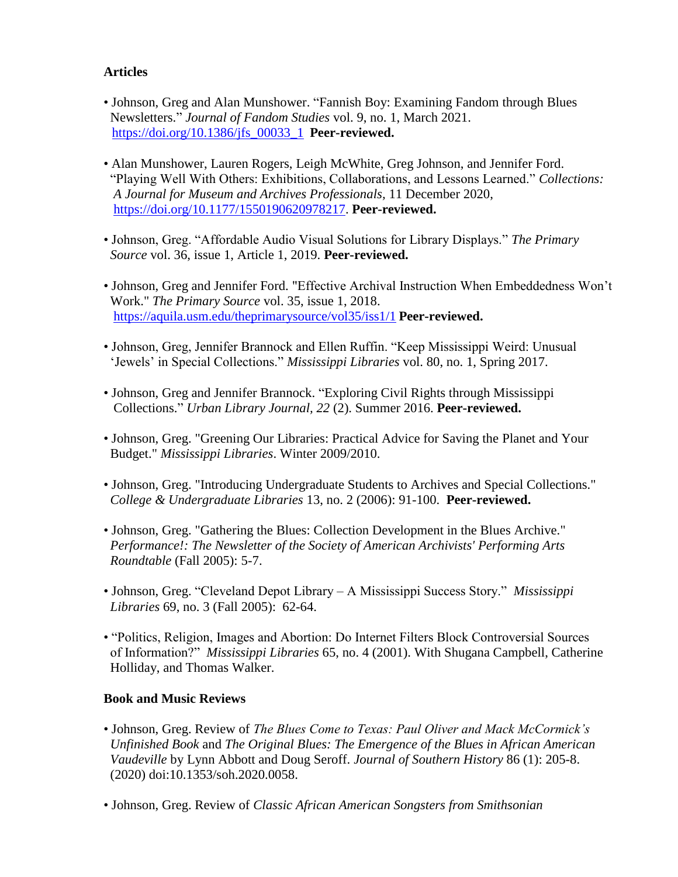# **Articles**

- Johnson, Greg and Alan Munshower. "Fannish Boy: Examining Fandom through Blues Newsletters." *Journal of Fandom Studies* vol. 9, no. 1, March 2021. [https://doi.org/10.1386/jfs\\_00033\\_1](https://doi.org/10.1386/jfs_00033_1) **Peer-reviewed.**
- Alan Munshower, Lauren Rogers, Leigh McWhite, Greg Johnson, and Jennifer Ford. "Playing Well With Others: Exhibitions, Collaborations, and Lessons Learned." *Collections: A Journal for Museum and Archives Professionals,* 11 December 2020, [https://doi.org/10.1177/1550190620978217.](https://doi.org/10.1177/1550190620978217) **Peer-reviewed.**
- Johnson, Greg. "Affordable Audio Visual Solutions for Library Displays." *The Primary Source* vol. 36, issue 1, Article 1, 2019. **Peer-reviewed.**
- Johnson, Greg and Jennifer Ford. "Effective Archival Instruction When Embeddedness Won't Work." *The Primary Source* vol. 35, issue 1, 2018. <https://aquila.usm.edu/theprimarysource/vol35/iss1/1> **Peer-reviewed.**
- Johnson, Greg, Jennifer Brannock and Ellen Ruffin. "Keep Mississippi Weird: Unusual 'Jewels' in Special Collections." *Mississippi Libraries* vol. 80, no. 1, Spring 2017.
- Johnson, Greg and Jennifer Brannock. "Exploring Civil Rights through Mississippi Collections." *Urban Library Journal, 22* (2). Summer 2016. **Peer-reviewed.**
- Johnson, Greg. "Greening Our Libraries: Practical Advice for Saving the Planet and Your Budget." *Mississippi Libraries*. Winter 2009/2010.
- Johnson, Greg. "Introducing Undergraduate Students to Archives and Special Collections." *College & Undergraduate Libraries* 13, no. 2 (2006): 91-100. **Peer-reviewed.**
- Johnson, Greg. "Gathering the Blues: Collection Development in the Blues Archive." *Performance!: The Newsletter of the Society of American Archivists' Performing Arts Roundtable* (Fall 2005): 5-7.
- Johnson, Greg. "Cleveland Depot Library A Mississippi Success Story." *Mississippi Libraries* 69, no. 3 (Fall 2005): 62-64.
- "Politics, Religion, Images and Abortion: Do Internet Filters Block Controversial Sources of Information?" *Mississippi Libraries* 65, no. 4 (2001). With Shugana Campbell, Catherine Holliday, and Thomas Walker.

# **Book and Music Reviews**

- Johnson, Greg. Review of *The Blues Come to Texas: Paul Oliver and Mack McCormick's Unfinished Book* and *The Original Blues: The Emergence of the Blues in African American Vaudeville* by Lynn Abbott and Doug Seroff. *Journal of Southern History* 86 (1): 205-8. (2020) doi:10.1353/soh.2020.0058.
- Johnson, Greg. Review of *Classic African American Songsters from Smithsonian*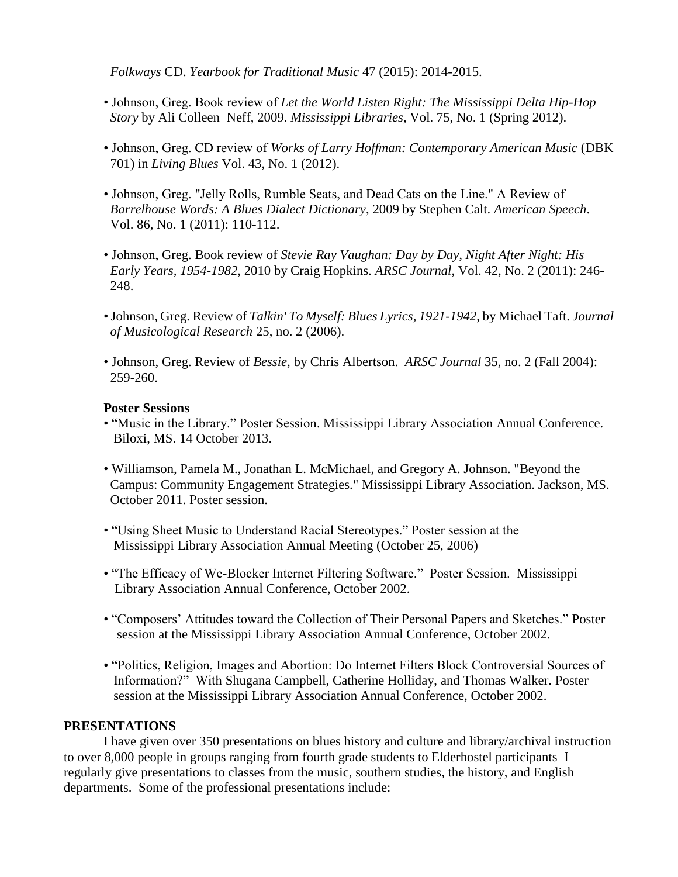*Folkways* CD. *Yearbook for Traditional Music* 47 (2015): 2014-2015.

- Johnson, Greg. Book review of *Let the World Listen Right: The Mississippi Delta Hip-Hop Story* by Ali Colleen Neff, 2009. *Mississippi Libraries*, Vol. 75, No. 1 (Spring 2012).
- Johnson, Greg. CD review of *Works of Larry Hoffman: Contemporary American Music* (DBK 701) in *Living Blues* Vol. 43, No. 1 (2012).
- Johnson, Greg. "Jelly Rolls, Rumble Seats, and Dead Cats on the Line." A Review of *Barrelhouse Words: A Blues Dialect Dictionary*, 2009 by Stephen Calt. *American Speech*. Vol. 86, No. 1 (2011): 110-112.
- Johnson, Greg. Book review of *Stevie Ray Vaughan: Day by Day, Night After Night: His Early Years, 1954-1982*, 2010 by Craig Hopkins. *ARSC Journal*, Vol. 42, No. 2 (2011): 246- 248.
- •Johnson, Greg. Review of *Talkin' To Myself: Blues Lyrics, 1921-1942*, by Michael Taft. *Journal of Musicological Research* 25, no. 2 (2006).
- Johnson, Greg. Review of *Bessie*, by Chris Albertson. *ARSC Journal* 35, no. 2 (Fall 2004): 259-260.

## **Poster Sessions**

- "Music in the Library." Poster Session. Mississippi Library Association Annual Conference. Biloxi, MS. 14 October 2013.
- Williamson, Pamela M., Jonathan L. McMichael, and Gregory A. Johnson. "Beyond the Campus: Community Engagement Strategies." Mississippi Library Association. Jackson, MS. October 2011. Poster session.
- "Using Sheet Music to Understand Racial Stereotypes." Poster session at the Mississippi Library Association Annual Meeting (October 25, 2006)
- "The Efficacy of We-Blocker Internet Filtering Software." Poster Session. Mississippi Library Association Annual Conference, October 2002.
- "Composers' Attitudes toward the Collection of Their Personal Papers and Sketches." Poster session at the Mississippi Library Association Annual Conference, October 2002.
- "Politics, Religion, Images and Abortion: Do Internet Filters Block Controversial Sources of Information?" With Shugana Campbell, Catherine Holliday, and Thomas Walker. Poster session at the Mississippi Library Association Annual Conference, October 2002.

### **PRESENTATIONS**

I have given over 350 presentations on blues history and culture and library/archival instruction to over 8,000 people in groups ranging from fourth grade students to Elderhostel participants I regularly give presentations to classes from the music, southern studies, the history, and English departments. Some of the professional presentations include: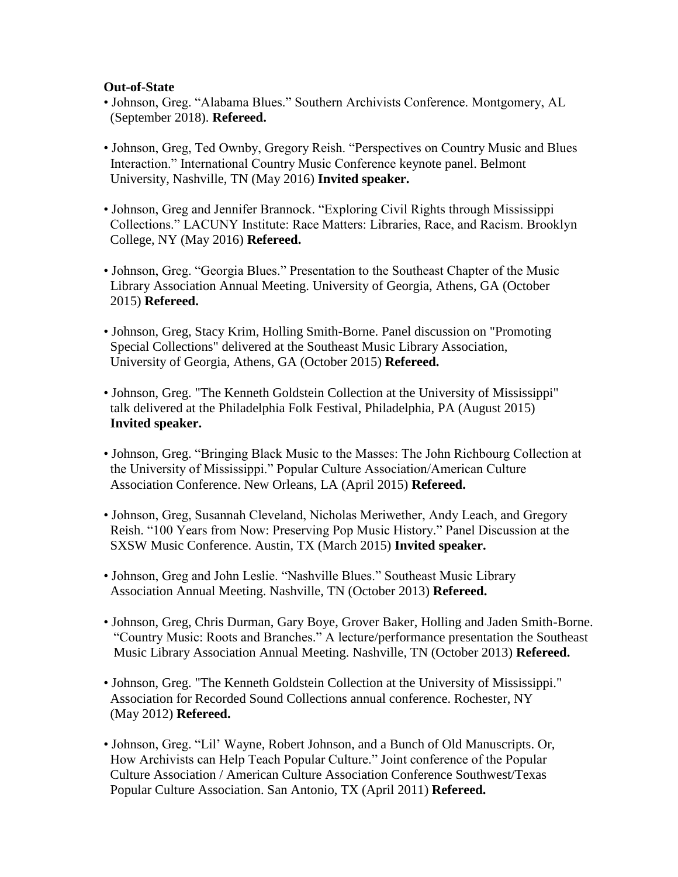### **Out-of-State**

- Johnson, Greg. "Alabama Blues." Southern Archivists Conference. Montgomery, AL (September 2018). **Refereed.**
- Johnson, Greg, Ted Ownby, Gregory Reish. "Perspectives on Country Music and Blues Interaction." International Country Music Conference keynote panel. Belmont University, Nashville, TN (May 2016) **Invited speaker.**
- Johnson, Greg and Jennifer Brannock. "Exploring Civil Rights through Mississippi Collections." LACUNY Institute: Race Matters: Libraries, Race, and Racism. Brooklyn College, NY (May 2016) **Refereed.**
- Johnson, Greg. "Georgia Blues." Presentation to the Southeast Chapter of the Music Library Association Annual Meeting. University of Georgia, Athens, GA (October 2015) **Refereed.**
- Johnson, Greg, Stacy Krim, Holling Smith-Borne. Panel discussion on "Promoting Special Collections" delivered at the Southeast Music Library Association, University of Georgia, Athens, GA (October 2015) **Refereed.**
- Johnson, Greg. "The Kenneth Goldstein Collection at the University of Mississippi" talk delivered at the Philadelphia Folk Festival, Philadelphia, PA (August 2015) **Invited speaker.**
- Johnson, Greg. "Bringing Black Music to the Masses: The John Richbourg Collection at the University of Mississippi." Popular Culture Association/American Culture Association Conference. New Orleans, LA (April 2015) **Refereed.**
- Johnson, Greg, Susannah Cleveland, Nicholas Meriwether, Andy Leach, and Gregory Reish. "100 Years from Now: Preserving Pop Music History." Panel Discussion at the SXSW Music Conference. Austin, TX (March 2015) **Invited speaker.**
- Johnson, Greg and John Leslie. "Nashville Blues." Southeast Music Library Association Annual Meeting. Nashville, TN (October 2013) **Refereed.**
- Johnson, Greg, Chris Durman, Gary Boye, Grover Baker, Holling and Jaden Smith-Borne. "Country Music: Roots and Branches." A lecture/performance presentation the Southeast Music Library Association Annual Meeting. Nashville, TN (October 2013) **Refereed.**
- Johnson, Greg. "The Kenneth Goldstein Collection at the University of Mississippi." Association for Recorded Sound Collections annual conference. Rochester, NY (May 2012) **Refereed.**
- Johnson, Greg. "Lil' Wayne, Robert Johnson, and a Bunch of Old Manuscripts. Or, How Archivists can Help Teach Popular Culture." Joint conference of the Popular Culture Association / American Culture Association Conference Southwest/Texas Popular Culture Association. San Antonio, TX (April 2011) **Refereed.**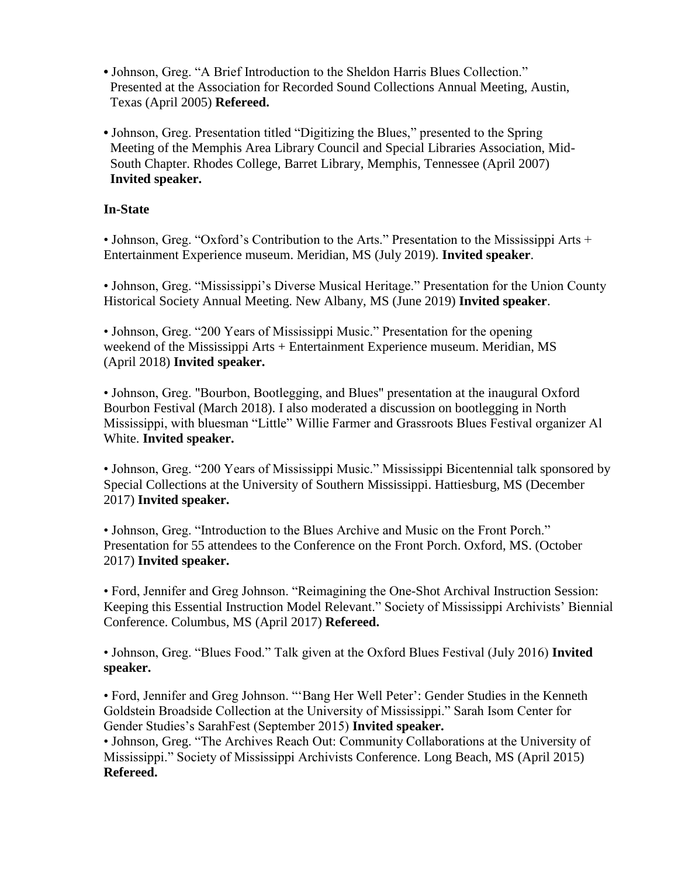- Johnson, Greg. "A Brief Introduction to the Sheldon Harris Blues Collection." Presented at the Association for Recorded Sound Collections Annual Meeting, Austin, Texas (April 2005) **Refereed.**
- Johnson, Greg. Presentation titled "Digitizing the Blues," presented to the Spring Meeting of the Memphis Area Library Council and Special Libraries Association, Mid- South Chapter. Rhodes College, Barret Library, Memphis, Tennessee (April 2007) **Invited speaker.**

# **In-State**

• Johnson, Greg. "Oxford's Contribution to the Arts." Presentation to the Mississippi Arts + Entertainment Experience museum. Meridian, MS (July 2019). **Invited speaker**.

• Johnson, Greg. "Mississippi's Diverse Musical Heritage." Presentation for the Union County Historical Society Annual Meeting. New Albany, MS (June 2019) **Invited speaker**.

• Johnson, Greg. "200 Years of Mississippi Music." Presentation for the opening weekend of the Mississippi Arts + Entertainment Experience museum. Meridian, MS (April 2018) **Invited speaker.**

• Johnson, Greg. "Bourbon, Bootlegging, and Blues" presentation at the inaugural Oxford Bourbon Festival (March 2018). I also moderated a discussion on bootlegging in North Mississippi, with bluesman "Little" Willie Farmer and Grassroots Blues Festival organizer Al White. **Invited speaker.**

• Johnson, Greg. "200 Years of Mississippi Music." Mississippi Bicentennial talk sponsored by Special Collections at the University of Southern Mississippi. Hattiesburg, MS (December 2017) **Invited speaker.** 

• Johnson, Greg. "Introduction to the Blues Archive and Music on the Front Porch." Presentation for 55 attendees to the Conference on the Front Porch. Oxford, MS. (October 2017) **Invited speaker.**

• Ford, Jennifer and Greg Johnson. "Reimagining the One-Shot Archival Instruction Session: Keeping this Essential Instruction Model Relevant." Society of Mississippi Archivists' Biennial Conference. Columbus, MS (April 2017) **Refereed.**

• Johnson, Greg. "Blues Food." Talk given at the Oxford Blues Festival (July 2016) **Invited speaker.**

• Ford, Jennifer and Greg Johnson. "'Bang Her Well Peter': Gender Studies in the Kenneth Goldstein Broadside Collection at the University of Mississippi." Sarah Isom Center for Gender Studies's SarahFest (September 2015) **Invited speaker.**

• Johnson, Greg. "The Archives Reach Out: Community Collaborations at the University of Mississippi." Society of Mississippi Archivists Conference. Long Beach, MS (April 2015) **Refereed.**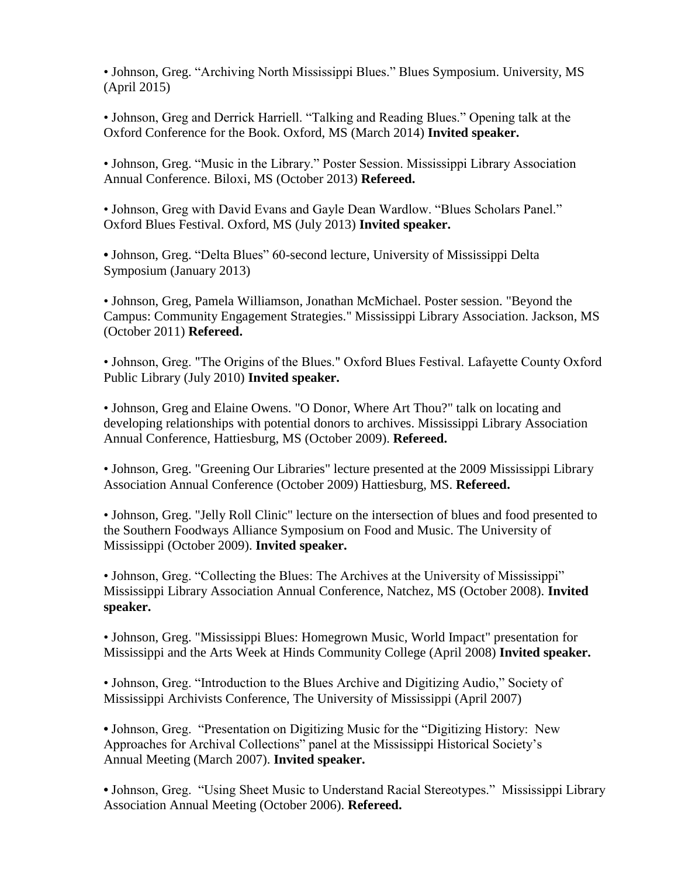• Johnson, Greg. "Archiving North Mississippi Blues." Blues Symposium. University, MS (April 2015)

• Johnson, Greg and Derrick Harriell. "Talking and Reading Blues." Opening talk at the Oxford Conference for the Book. Oxford, MS (March 2014) **Invited speaker.**

• Johnson, Greg. "Music in the Library." Poster Session. Mississippi Library Association Annual Conference. Biloxi, MS (October 2013) **Refereed.**

• Johnson, Greg with David Evans and Gayle Dean Wardlow. "Blues Scholars Panel." Oxford Blues Festival. Oxford, MS (July 2013) **Invited speaker.**

**•** Johnson, Greg. "Delta Blues" 60-second lecture, University of Mississippi Delta Symposium (January 2013)

• Johnson, Greg, Pamela Williamson, Jonathan McMichael. Poster session. "Beyond the Campus: Community Engagement Strategies." Mississippi Library Association. Jackson, MS (October 2011) **Refereed.**

• Johnson, Greg. "The Origins of the Blues." Oxford Blues Festival. Lafayette County Oxford Public Library (July 2010) **Invited speaker.**

• Johnson, Greg and Elaine Owens. "O Donor, Where Art Thou?" talk on locating and developing relationships with potential donors to archives. Mississippi Library Association Annual Conference, Hattiesburg, MS (October 2009). **Refereed.**

• Johnson, Greg. "Greening Our Libraries" lecture presented at the 2009 Mississippi Library Association Annual Conference (October 2009) Hattiesburg, MS. **Refereed.**

• Johnson, Greg. "Jelly Roll Clinic" lecture on the intersection of blues and food presented to the Southern Foodways Alliance Symposium on Food and Music. The University of Mississippi (October 2009). **Invited speaker.**

• Johnson, Greg. "Collecting the Blues: The Archives at the University of Mississippi" Mississippi Library Association Annual Conference, Natchez, MS (October 2008). **Invited speaker.**

• Johnson, Greg. "Mississippi Blues: Homegrown Music, World Impact" presentation for Mississippi and the Arts Week at Hinds Community College (April 2008) **Invited speaker.**

• Johnson, Greg. "Introduction to the Blues Archive and Digitizing Audio," Society of Mississippi Archivists Conference, The University of Mississippi (April 2007)

**•** Johnson, Greg. "Presentation on Digitizing Music for the "Digitizing History: New Approaches for Archival Collections" panel at the Mississippi Historical Society's Annual Meeting (March 2007). **Invited speaker.** 

**•** Johnson, Greg. "Using Sheet Music to Understand Racial Stereotypes." Mississippi Library Association Annual Meeting (October 2006). **Refereed.**